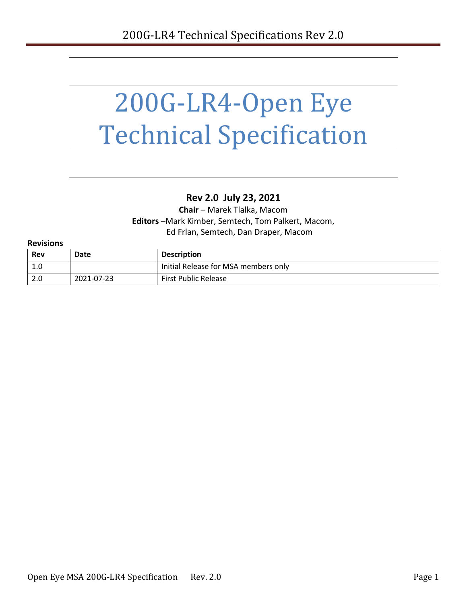

#### **Rev 2.0 July 23, 2021**

**Chair** – Marek Tlalka, Macom **Editors** –Mark Kimber, Semtech, Tom Palkert, Macom, Ed Frlan, Semtech, Dan Draper, Macom

| <b>Revisions</b> |  |  |
|------------------|--|--|

| <b>Rev</b>       | Date       | <b>Description</b>                   |
|------------------|------------|--------------------------------------|
| -1.0             |            | Initial Release for MSA members only |
| $\overline{2.0}$ | 2021-07-23 | <b>First Public Release</b>          |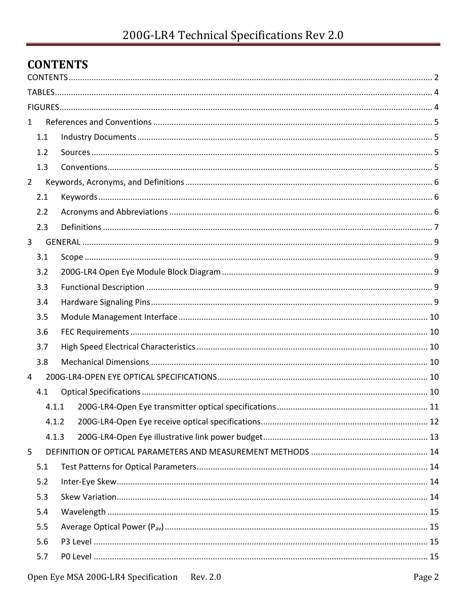## <span id="page-1-0"></span>**CONTENTS**

| $\mathbf{1}$   |                                                 |        |
|----------------|-------------------------------------------------|--------|
| 1.1            |                                                 |        |
| 1.2            |                                                 |        |
| 1.3            |                                                 |        |
| $\overline{2}$ |                                                 |        |
| 2.1            |                                                 |        |
| 2.2            |                                                 |        |
| 2.3            |                                                 |        |
| 3              |                                                 |        |
| 3.1            |                                                 |        |
| 3.2            |                                                 |        |
| 3.3            |                                                 |        |
| 3.4            |                                                 |        |
| 3.5            |                                                 |        |
| 3.6            |                                                 |        |
| 3.7            |                                                 |        |
| 3.8            |                                                 |        |
| 4              |                                                 |        |
| 4.1            |                                                 |        |
|                | 4.1.1                                           |        |
|                | 4.1.2                                           |        |
|                | 4.1.3                                           |        |
| 5              |                                                 |        |
| 5.1            |                                                 |        |
| 5.2            |                                                 |        |
| 5.3            |                                                 |        |
| 5.4            |                                                 |        |
| 5.5            |                                                 |        |
| 5.6            |                                                 |        |
| 5.7            |                                                 |        |
|                | Open Eye MSA 200G-LR4 Specification<br>Rev. 2.0 | Page 2 |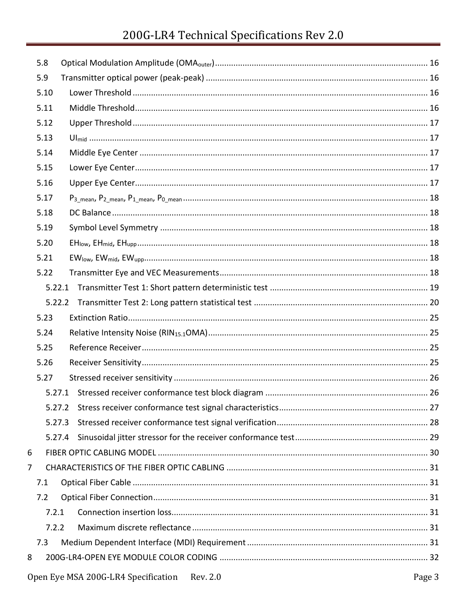# 200G-LR4 Technical Specifications Rev 2.0

|   | 5.8    |  |
|---|--------|--|
|   | 5.9    |  |
|   | 5.10   |  |
|   | 5.11   |  |
|   | 5.12   |  |
|   | 5.13   |  |
|   | 5.14   |  |
|   | 5.15   |  |
|   | 5.16   |  |
|   | 5.17   |  |
|   | 5.18   |  |
|   | 5.19   |  |
|   | 5.20   |  |
|   | 5.21   |  |
|   | 5.22   |  |
|   | 5.22.1 |  |
|   |        |  |
|   | 5.23   |  |
|   | 5.24   |  |
|   | 5.25   |  |
|   | 5.26   |  |
|   | 5.27   |  |
|   |        |  |
|   | 5.27.2 |  |
|   | 5.27.3 |  |
|   | 5.27.4 |  |
| 6 |        |  |
| 7 |        |  |
|   | 7.1    |  |
|   | 7.2    |  |
|   | 7.2.1  |  |
|   | 7.2.2  |  |
|   | 7.3    |  |
| 8 |        |  |
|   |        |  |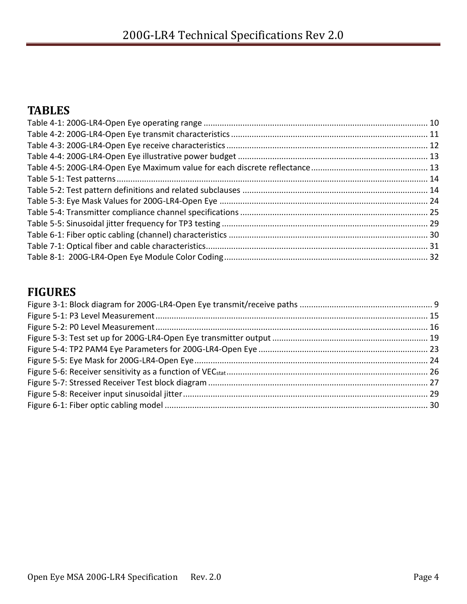## <span id="page-3-0"></span>**TABLES**

## <span id="page-3-1"></span>**FIGURES**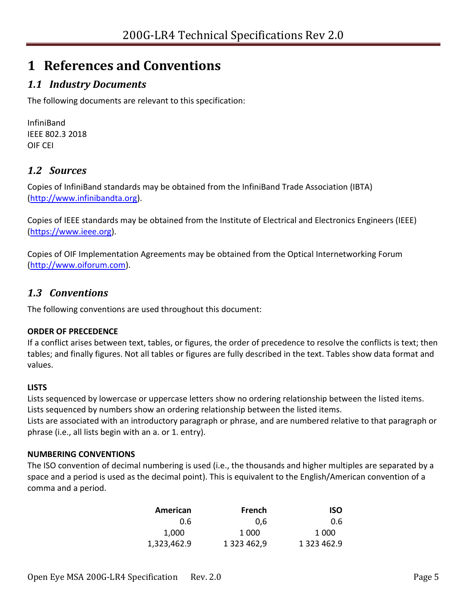# <span id="page-4-0"></span>**1 References and Conventions**

### <span id="page-4-1"></span>*1.1 Industry Documents*

The following documents are relevant to this specification:

InfiniBand IEEE 802.3 2018 OIF CEI

### <span id="page-4-2"></span>*1.2 Sources*

Copies of InfiniBand standards may be obtained from the InfiniBand Trade Association (IBTA) [\(http://www.infinibandta.org\)](http://www.infinibandta.org/).

Copies of IEEE standards may be obtained from the Institute of Electrical and Electronics Engineers (IEEE) [\(https://www.ieee.org\)](https://www.ieee.org/).

Copies of OIF Implementation Agreements may be obtained from the Optical Internetworking Forum [\(http://www.oiforum.com\)](http://www.oiforum.com/).

### <span id="page-4-3"></span>*1.3 Conventions*

The following conventions are used throughout this document:

#### **ORDER OF PRECEDENCE**

If a conflict arises between text, tables, or figures, the order of precedence to resolve the conflicts is text; then tables; and finally figures. Not all tables or figures are fully described in the text. Tables show data format and values.

#### **LISTS**

Lists sequenced by lowercase or uppercase letters show no ordering relationship between the listed items. Lists sequenced by numbers show an ordering relationship between the listed items.

Lists are associated with an introductory paragraph or phrase, and are numbered relative to that paragraph or phrase (i.e., all lists begin with an a. or 1. entry).

#### **NUMBERING CONVENTIONS**

The ISO convention of decimal numbering is used (i.e., the thousands and higher multiples are separated by a space and a period is used as the decimal point). This is equivalent to the English/American convention of a comma and a period.

| American    | French      | ISO         |
|-------------|-------------|-------------|
| 0.6         | 0.6         | 0.6         |
| 1,000       | 1 000       | 1 000       |
| 1,323,462.9 | 1 323 462,9 | 1 323 462.9 |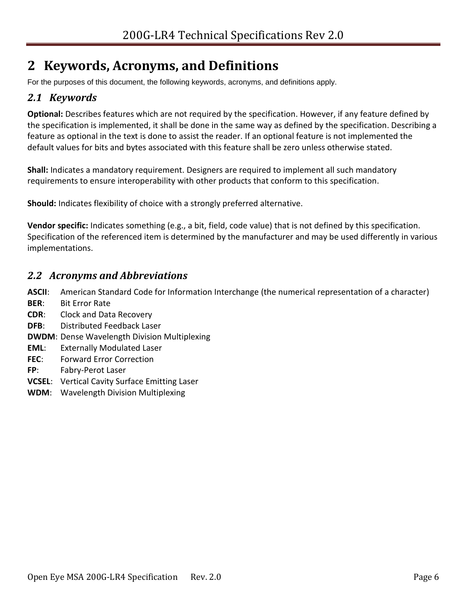# <span id="page-5-0"></span>**2 Keywords, Acronyms, and Definitions**

For the purposes of this document, the following keywords, acronyms, and definitions apply.

### <span id="page-5-1"></span>*2.1 Keywords*

**Optional:** Describes features which are not required by the specification. However, if any feature defined by the specification is implemented, it shall be done in the same way as defined by the specification. Describing a feature as optional in the text is done to assist the reader. If an optional feature is not implemented the default values for bits and bytes associated with this feature shall be zero unless otherwise stated.

**Shall:** Indicates a mandatory requirement. Designers are required to implement all such mandatory requirements to ensure interoperability with other products that conform to this specification.

**Should:** Indicates flexibility of choice with a strongly preferred alternative.

**Vendor specific:** Indicates something (e.g., a bit, field, code value) that is not defined by this specification. Specification of the referenced item is determined by the manufacturer and may be used differently in various implementations.

#### <span id="page-5-2"></span>*2.2 Acronyms and Abbreviations*

**ASCII**: American Standard Code for Information Interchange (the numerical representation of a character)

- **BER**: Bit Error Rate
- **CDR**: Clock and Data Recovery
- **DFB**: Distributed Feedback Laser
- **DWDM**: Dense Wavelength Division Multiplexing
- **EML**: Externally Modulated Laser
- **FEC**: Forward Error Correction
- **FP**: Fabry-Perot Laser
- **VCSEL**: Vertical Cavity Surface Emitting Laser
- **WDM**: Wavelength Division Multiplexing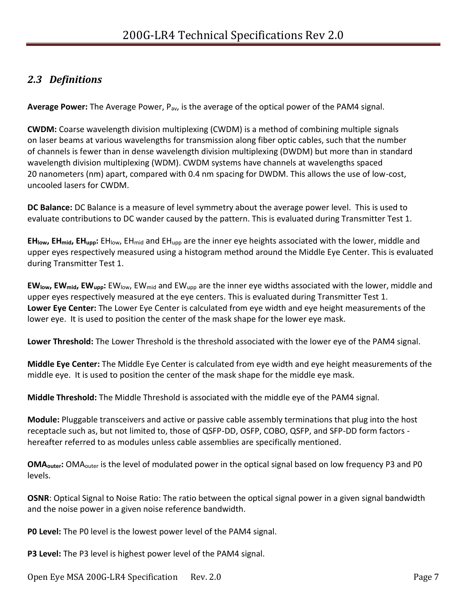### <span id="page-6-0"></span>*2.3 Definitions*

**Average Power:** The Average Power, Pav, is the average of the optical power of the PAM4 signal.

**CWDM:** Coarse wavelength division multiplexing (CWDM) is a method of combining multiple signals on laser beams at various wavelengths for transmission along fiber optic cables, such that the number of channels is fewer than in dense wavelength division multiplexing (DWDM) but more than in standard wavelength division multiplexing (WDM). CWDM systems have channels at wavelengths spaced 20 nanometers (nm) apart, compared with 0.4 nm spacing for DWDM. This allows the use of low-cost, uncooled lasers for CWDM.

**DC Balance:** DC Balance is a measure of level symmetry about the average power level. This is used to evaluate contributions to DC wander caused by the pattern. This is evaluated during Transmitter Test 1.

**EHlow, EHmid, EHupp:** EHlow, EHmid and EHupp are the inner eye heights associated with the lower, middle and upper eyes respectively measured using a histogram method around the Middle Eye Center. This is evaluated during Transmitter Test 1.

**EWlow, EWmid, EWupp:** EWlow, EWmid and EWupp are the inner eye widths associated with the lower, middle and upper eyes respectively measured at the eye centers. This is evaluated during Transmitter Test 1. **Lower Eye Center:** The Lower Eye Center is calculated from eye width and eye height measurements of the lower eye. It is used to position the center of the mask shape for the lower eye mask.

**Lower Threshold:** The Lower Threshold is the threshold associated with the lower eye of the PAM4 signal.

**Middle Eye Center:** The Middle Eye Center is calculated from eye width and eye height measurements of the middle eye. It is used to position the center of the mask shape for the middle eye mask.

**Middle Threshold:** The Middle Threshold is associated with the middle eye of the PAM4 signal.

**Module:** Pluggable transceivers and active or passive cable assembly terminations that plug into the host receptacle such as, but not limited to, those of QSFP-DD, OSFP, COBO, QSFP, and SFP-DD form factors hereafter referred to as modules unless cable assemblies are specifically mentioned.

**OMAouter:** OMAouter is the level of modulated power in the optical signal based on low frequency P3 and P0 levels.

**OSNR**: Optical Signal to Noise Ratio: The ratio between the optical signal power in a given signal bandwidth and the noise power in a given noise reference bandwidth.

**P0 Level:** The P0 level is the lowest power level of the PAM4 signal.

**P3 Level:** The P3 level is highest power level of the PAM4 signal.

Open Eye MSA 200G-LR4 Specification Rev. 2.0 Page 7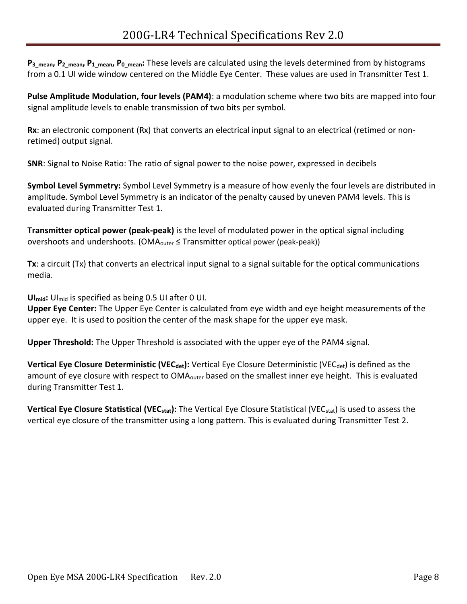**P3\_mean, P2\_mean, P1\_mean, P0\_mean:** These levels are calculated using the levels determined from by histograms from a 0.1 UI wide window centered on the Middle Eye Center. These values are used in Transmitter Test 1.

**Pulse Amplitude Modulation, four levels (PAM4)**: a modulation scheme where two bits are mapped into four signal amplitude levels to enable transmission of two bits per symbol.

**Rx**: an electronic component (Rx) that converts an electrical input signal to an electrical (retimed or nonretimed) output signal.

**SNR**: Signal to Noise Ratio: The ratio of signal power to the noise power, expressed in decibels

**Symbol Level Symmetry:** Symbol Level Symmetry is a measure of how evenly the four levels are distributed in amplitude. Symbol Level Symmetry is an indicator of the penalty caused by uneven PAM4 levels. This is evaluated during Transmitter Test 1.

**Transmitter optical power (peak-peak)** is the level of modulated power in the optical signal including overshoots and undershoots. (OMA<sub>outer</sub>  $\leq$  Transmitter optical power (peak-peak))

**Tx**: a circuit (Tx) that converts an electrical input signal to a signal suitable for the optical communications media.

**UImid:** UImid is specified as being 0.5 UI after 0 UI.

**Upper Eye Center:** The Upper Eye Center is calculated from eye width and eye height measurements of the upper eye. It is used to position the center of the mask shape for the upper eye mask.

**Upper Threshold:** The Upper Threshold is associated with the upper eye of the PAM4 signal.

**Vertical Eye Closure Deterministic (VEC<sub>det</sub>):** Vertical Eye Closure Deterministic (VEC<sub>det</sub>) is defined as the amount of eye closure with respect to OMA<sub>outer</sub> based on the smallest inner eye height. This is evaluated during Transmitter Test 1.

**Vertical Eye Closure Statistical (VECstat):** The Vertical Eye Closure Statistical (VECstat) is used to assess the vertical eye closure of the transmitter using a long pattern. This is evaluated during Transmitter Test 2.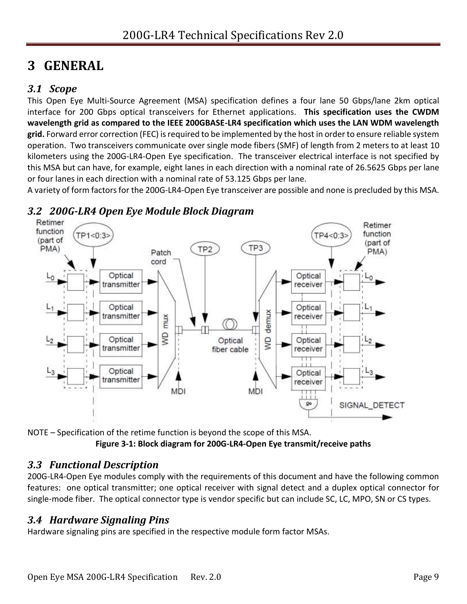# <span id="page-8-0"></span>**3 GENERAL**

### <span id="page-8-1"></span>*3.1 Scope*

This Open Eye Multi-Source Agreement (MSA) specification defines a four lane 50 Gbps/lane 2km optical interface for 200 Gbps optical transceivers for Ethernet applications. **This specification uses the CWDM wavelength grid as compared to the IEEE 200GBASE-LR4 specification which uses the LAN WDM wavelength grid.** Forward error correction (FEC) is required to be implemented by the host in order to ensure reliable system operation. Two transceivers communicate over single mode fibers (SMF) of length from 2 meters to at least 10 kilometers using the 200G-LR4-Open Eye specification. The transceiver electrical interface is not specified by this MSA but can have, for example, eight lanes in each direction with a nominal rate of 26.5625 Gbps per lane or four lanes in each direction with a nominal rate of 53.125 Gbps per lane.

A variety of form factors for the 200G-LR4-Open Eye transceiver are possible and none is precluded by this MSA.



### <span id="page-8-2"></span>*3.2 200G-LR4 Open Eye Module Block Diagram*

<span id="page-8-5"></span>NOTE – Specification of the retime function is beyond the scope of this MSA. **Figure 3-1: Block diagram for 200G-LR4-Open Eye transmit/receive paths**

#### <span id="page-8-3"></span>*3.3 Functional Description*

200G-LR4-Open Eye modules comply with the requirements of this document and have the following common features: one optical transmitter; one optical receiver with signal detect and a duplex optical connector for single-mode fiber. The optical connector type is vendor specific but can include SC, LC, MPO, SN or CS types.

#### <span id="page-8-4"></span>*3.4 Hardware Signaling Pins*

Hardware signaling pins are specified in the respective module form factor MSAs.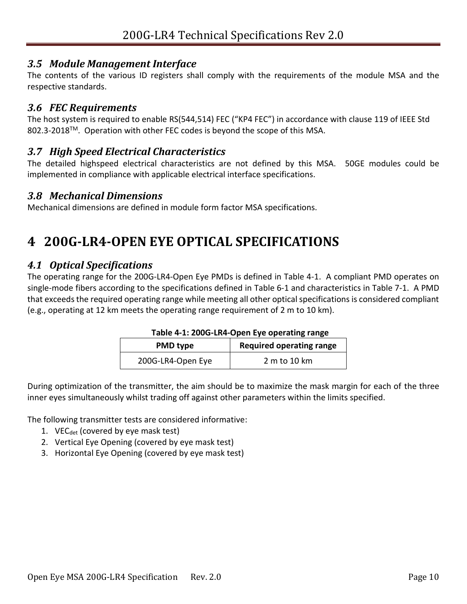#### <span id="page-9-0"></span>*3.5 Module Management Interface*

The contents of the various ID registers shall comply with the requirements of the module MSA and the respective standards.

#### <span id="page-9-1"></span>*3.6 FEC Requirements*

The host system is required to enable RS(544,514) FEC ("KP4 FEC") in accordance with clause 119 of IEEE Std 802.3-2018™. Operation with other FEC codes is beyond the scope of this MSA.

#### <span id="page-9-2"></span>*3.7 High Speed Electrical Characteristics*

The detailed highspeed electrical characteristics are not defined by this MSA. 50GE modules could be implemented in compliance with applicable electrical interface specifications.

#### <span id="page-9-3"></span>*3.8 Mechanical Dimensions*

Mechanical dimensions are defined in module form factor MSA specifications.

# <span id="page-9-4"></span>**4 200G-LR4-OPEN EYE OPTICAL SPECIFICATIONS**

#### <span id="page-9-5"></span>*4.1 Optical Specifications*

The operating range for the 200G-LR4-Open Eye PMDs is defined in [Table 4-1.](#page-9-6) A compliant PMD operates on single-mode fibers according to the specifications defined in [Table 6-1](#page-29-1) and characteristics in [Table 7-1.](#page-30-6) A PMD that exceeds the required operating range while meeting all other optical specifications is considered compliant (e.g., operating at 12 km meets the operating range requirement of 2 m to 10 km).

| <b>PMD type</b>   | <b>Required operating range</b> |
|-------------------|---------------------------------|
| 200G-LR4-Open Eye | 2 m to 10 km                    |

<span id="page-9-6"></span>During optimization of the transmitter, the aim should be to maximize the mask margin for each of the three inner eyes simultaneously whilst trading off against other parameters within the limits specified.

The following transmitter tests are considered informative:

- 1. VE $C_{\text{det}}$  (covered by eye mask test)
- 2. Vertical Eye Opening (covered by eye mask test)
- 3. Horizontal Eye Opening (covered by eye mask test)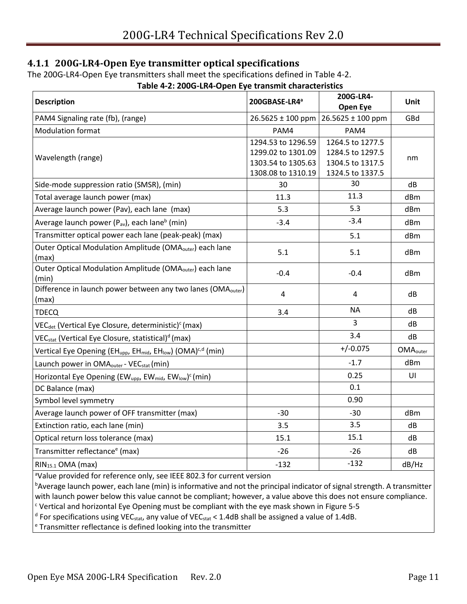#### <span id="page-10-0"></span>**4.1.1 200G-LR4-Open Eye transmitter optical specifications**

The 200G-LR4-Open Eye transmitters shall meet the specifications defined in [Table 4-2.](#page-10-1)

<span id="page-10-1"></span>

| <b>Description</b>                                                                                           | 200GBASE-LR4ª                                                                        | 200G-LR4-<br><b>Open Eye</b>                                                 | Unit                        |
|--------------------------------------------------------------------------------------------------------------|--------------------------------------------------------------------------------------|------------------------------------------------------------------------------|-----------------------------|
| PAM4 Signaling rate (fb), (range)                                                                            | 26.5625 ± 100 ppm                                                                    | 26.5625 ± 100 ppm                                                            | GBd                         |
| <b>Modulation format</b>                                                                                     | PAM4                                                                                 | PAM4                                                                         |                             |
| Wavelength (range)                                                                                           | 1294.53 to 1296.59<br>1299.02 to 1301.09<br>1303.54 to 1305.63<br>1308.08 to 1310.19 | 1264.5 to 1277.5<br>1284.5 to 1297.5<br>1304.5 to 1317.5<br>1324.5 to 1337.5 | nm                          |
| Side-mode suppression ratio (SMSR), (min)                                                                    | 30                                                                                   | 30                                                                           | dB                          |
| Total average launch power (max)                                                                             | 11.3                                                                                 | 11.3                                                                         | dBm                         |
| Average launch power (Pav), each lane (max)                                                                  | 5.3                                                                                  | 5.3                                                                          | dBm                         |
| Average launch power (P <sub>av</sub> ), each lane <sup>b</sup> (min)                                        | $-3.4$                                                                               | $-3.4$                                                                       | dBm                         |
| Transmitter optical power each lane (peak-peak) (max)                                                        |                                                                                      | 5.1                                                                          | dBm                         |
| Outer Optical Modulation Amplitude (OMA <sub>outer</sub> ) each lane<br>(max)                                | 5.1                                                                                  | 5.1                                                                          | dBm                         |
| Outer Optical Modulation Amplitude (OMA <sub>outer</sub> ) each lane<br>(min)                                | $-0.4$                                                                               | $-0.4$                                                                       | dBm                         |
| Difference in launch power between any two lanes (OMA <sub>outer</sub> )<br>(max)                            | $\overline{4}$                                                                       | 4                                                                            | dB                          |
| <b>TDECQ</b>                                                                                                 | 3.4                                                                                  | <b>NA</b>                                                                    | dB                          |
| VEC <sub>det</sub> (Vertical Eye Closure, deterministic) <sup>c</sup> (max)                                  |                                                                                      | 3                                                                            | dB                          |
| VEC <sub>stat</sub> (Vertical Eye Closure, statistical) <sup>d</sup> (max)                                   |                                                                                      | 3.4                                                                          | dB                          |
| Vertical Eye Opening (EH <sub>upp</sub> , EH <sub>mid</sub> , EH <sub>low</sub> ) (OMA) <sup>c,d</sup> (min) |                                                                                      | $+/-0.075$                                                                   | <b>OMA</b> <sub>outer</sub> |
| Launch power in OMA <sub>outer</sub> - VEC <sub>stat</sub> (min)                                             |                                                                                      | $-1.7$                                                                       | dBm                         |
| Horizontal Eye Opening (EW <sub>upp</sub> , EW <sub>mid</sub> , EW <sub>low</sub> ) <sup>c</sup> (min)       |                                                                                      | 0.25                                                                         | UI                          |
| DC Balance (max)                                                                                             |                                                                                      | 0.1                                                                          |                             |
| Symbol level symmetry                                                                                        |                                                                                      | 0.90                                                                         |                             |
| Average launch power of OFF transmitter (max)                                                                | $-30$                                                                                | $-30$                                                                        | dBm                         |
| Extinction ratio, each lane (min)                                                                            | 3.5                                                                                  | 3.5                                                                          | dB                          |
| Optical return loss tolerance (max)                                                                          | 15.1                                                                                 | 15.1                                                                         | dB                          |
| Transmitter reflectance <sup>e</sup> (max)                                                                   | $-26$                                                                                | $-26$                                                                        | dB                          |
| RIN <sub>15.1</sub> OMA (max)                                                                                | $-132$                                                                               | $-132$                                                                       | dB/Hz                       |

#### **Table 4-2: 200G-LR4-Open Eye transmit characteristics**

<sup>a</sup>Value provided for reference only, see IEEE 802.3 for current version

bAverage launch power, each lane (min) is informative and not the principal indicator of signal strength. A transmitter with launch power below this value cannot be compliant; however, a value above this does not ensure compliance.

 $c$  Vertical and horizontal Eye Opening must be compliant with the eye mask shown i[n Figure 5-5](#page-23-1)

 $^{\text{d}}$  For specifications using VEC<sub>stat</sub>, any value of VEC<sub>stat</sub> < 1.4dB shall be assigned a value of 1.4dB.

<sup>e</sup> Transmitter reflectance is defined looking into the transmitter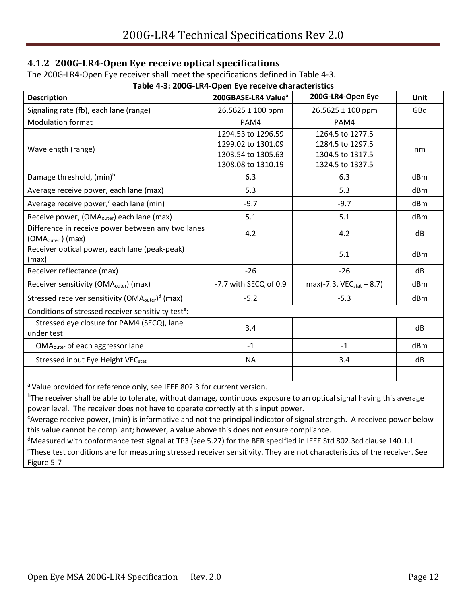#### <span id="page-11-0"></span>**4.1.2 200G-LR4-Open Eye receive optical specifications**

The 200G-LR4-Open Eye receiver shall meet the specifications defined in [Table 4-3.](#page-11-1)

<span id="page-11-1"></span>

| Table 4-3: 200G-LR4-Open Eye receive characteristics                                |                                 |                               |             |  |  |
|-------------------------------------------------------------------------------------|---------------------------------|-------------------------------|-------------|--|--|
| <b>Description</b>                                                                  | 200GBASE-LR4 Value <sup>a</sup> | 200G-LR4-Open Eye             | <b>Unit</b> |  |  |
| Signaling rate (fb), each lane (range)                                              | 26.5625 ± 100 ppm               | $26.5625 \pm 100$ ppm         | GBd         |  |  |
| <b>Modulation format</b>                                                            | PAM4                            | PAM4                          |             |  |  |
|                                                                                     | 1294.53 to 1296.59              | 1264.5 to 1277.5              |             |  |  |
| Wavelength (range)                                                                  | 1299.02 to 1301.09              | 1284.5 to 1297.5              | nm          |  |  |
|                                                                                     | 1303.54 to 1305.63              | 1304.5 to 1317.5              |             |  |  |
|                                                                                     | 1308.08 to 1310.19              | 1324.5 to 1337.5              |             |  |  |
| Damage threshold, (min) <sup>b</sup>                                                | 6.3                             | 6.3                           | dBm         |  |  |
| Average receive power, each lane (max)                                              | 5.3                             | 5.3                           | dBm         |  |  |
| Average receive power, <sup>c</sup> each lane (min)                                 | $-9.7$                          | $-9.7$                        | dBm         |  |  |
| Receive power, (OMA <sub>outer</sub> ) each lane (max)                              | 5.1                             | 5.1                           | dBm         |  |  |
| Difference in receive power between any two lanes<br>(OMA <sub>outer</sub> ) (max)  | 4.2                             | 4.2                           | dB          |  |  |
| Receiver optical power, each lane (peak-peak)                                       |                                 |                               |             |  |  |
| (max)                                                                               |                                 | 5.1                           | dBm         |  |  |
| Receiver reflectance (max)                                                          | $-26$                           | $-26$                         | dB          |  |  |
| Receiver sensitivity (OMA <sub>outer</sub> ) (max)                                  | -7.7 with SECQ of 0.9           | $max(-7.3, VEC_{stat} - 8.7)$ | dBm         |  |  |
| Stressed receiver sensitivity (OMA <sub>outer</sub> ) <sup>d</sup> (max)            | $-5.2$                          | $-5.3$                        | dBm         |  |  |
| Conditions of stressed receiver sensitivity test <sup>e</sup> :                     |                                 |                               |             |  |  |
| Stressed eye closure for PAM4 (SECQ), lane<br>under test                            | 3.4                             |                               | dB          |  |  |
| OMA <sub>outer</sub> of each aggressor lane                                         | $-1$                            | $-1$                          | dBm         |  |  |
| Stressed input Eye Height VEC <sub>stat</sub>                                       | <b>NA</b>                       | 3.4                           | dB          |  |  |
|                                                                                     |                                 |                               |             |  |  |
| <sup>a</sup> Value provided for reference only, see IEEE 802.3 for current version. |                                 |                               |             |  |  |
|                                                                                     |                                 |                               |             |  |  |

<sup>b</sup>The receiver shall be able to tolerate, without damage, continuous exposure to an optical signal having this average power level. The receiver does not have to operate correctly at this input power.

<sup>c</sup>Average receive power, (min) is informative and not the principal indicator of signal strength. A received power below this value cannot be compliant; however, a value above this does not ensure compliance.

<sup>d</sup>Measured with conformance test signal at TP3 (see [5.27\)](#page-25-3) for the BER specified in IEEE Std 802.3cd clause 140.1.1.

<sup>e</sup>These test conditions are for measuring stressed receiver sensitivity. They are not characteristics of the receiver. See [Figure 5-7](#page-26-1)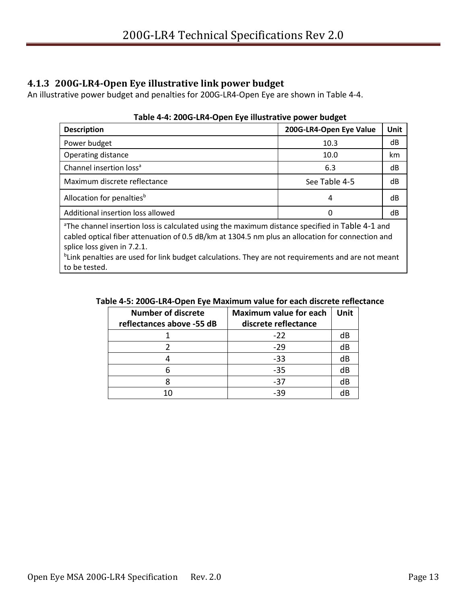#### <span id="page-12-0"></span>**4.1.3 200G-LR4-Open Eye illustrative link power budget**

<span id="page-12-1"></span>An illustrative power budget and penalties for 200G-LR4-Open Eye are shown in [Table 4-4.](#page-12-1)

| <b>Description</b>                                                                                              | 200G-LR4-Open Eye Value | Unit |
|-----------------------------------------------------------------------------------------------------------------|-------------------------|------|
| Power budget                                                                                                    | 10.3                    | dB   |
| Operating distance                                                                                              | 10.0                    | km   |
| Channel insertion loss <sup>a</sup>                                                                             | 6.3                     | dB   |
| Maximum discrete reflectance                                                                                    | See Table 4-5           | dB   |
| Allocation for penalties <sup>b</sup>                                                                           | 4                       | dB   |
| Additional insertion loss allowed                                                                               | 0                       | dB   |
| الرميم الرارات والعارضة الرمائة ومستحدث ومستحدث والمستحدث والمستحدث المستحدث ومستحدث والمستحدث المستحدثات والتت |                         |      |

#### **Table 4-4: 200G-LR4-Open Eye illustrative power budget**

The channel insertion loss is calculated using the maximum distance specified in [Table 4-1](#page-9-6) and cabled optical fiber attenuation of 0.5 dB/km at 1304.5 nm plus an allocation for connection and splice loss given in [7.2.1.](#page-30-3)

<span id="page-12-2"></span><sup>b</sup>Link penalties are used for link budget calculations. They are not requirements and are not meant to be tested.

| Table 4-5: 200G-LR4-Open Eye Maximum value for each discrete reflectance |  |
|--------------------------------------------------------------------------|--|
|--------------------------------------------------------------------------|--|

| <b>Number of discrete</b><br>reflectances above -55 dB | <b>Maximum value for each</b><br>discrete reflectance | Unit |
|--------------------------------------------------------|-------------------------------------------------------|------|
|                                                        | $-22$                                                 | dB   |
|                                                        | $-29$                                                 | dB   |
|                                                        | $-33$                                                 | dB   |
|                                                        | $-35$                                                 | dB   |
|                                                        | $-37$                                                 | dB   |
| 10                                                     | -39                                                   | dB   |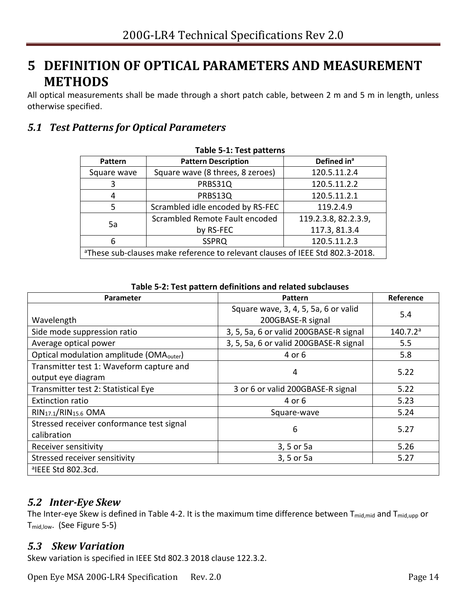## <span id="page-13-0"></span>**5 DEFINITION OF OPTICAL PARAMETERS AND MEASUREMENT METHODS**

All optical measurements shall be made through a short patch cable, between 2 m and 5 m in length, unless otherwise specified.

### <span id="page-13-4"></span><span id="page-13-1"></span>*5.1 Test Patterns for Optical Parameters*

| Lanic J.T. Lest hattering                                                                 |                                  |                         |
|-------------------------------------------------------------------------------------------|----------------------------------|-------------------------|
| <b>Pattern</b>                                                                            | <b>Pattern Description</b>       | Defined in <sup>a</sup> |
| Square wave                                                                               | Square wave (8 threes, 8 zeroes) | 120.5.11.2.4            |
| 3                                                                                         | PRBS31Q                          | 120.5.11.2.2            |
| 4                                                                                         | PRBS13Q                          | 120.5.11.2.1            |
| 5                                                                                         | Scrambled idle encoded by RS-FEC | 119.2.4.9               |
| Scrambled Remote Fault encoded<br>119.2.3.8, 82.2.3.9,<br>5a                              |                                  |                         |
| 117.3, 81.3.4<br>by RS-FEC                                                                |                                  |                         |
| 120.5.11.2.3<br><b>SSPRQ</b><br>6                                                         |                                  |                         |
| <sup>a</sup> These sub-clauses make reference to relevant clauses of IEEE Std 802.3-2018. |                                  |                         |

#### **Table 5-1: Test patterns**

<span id="page-13-5"></span>

| Parameter<br><b>Pattern</b>                                    |                                                           | Reference            |
|----------------------------------------------------------------|-----------------------------------------------------------|----------------------|
| Wavelength                                                     | Square wave, 3, 4, 5, 5a, 6 or valid<br>200GBASE-R signal | 5.4                  |
| Side mode suppression ratio                                    | 3, 5, 5a, 6 or valid 200GBASE-R signal                    | 140.7.2 <sup>a</sup> |
| Average optical power                                          | 3, 5, 5a, 6 or valid 200GBASE-R signal                    | 5.5                  |
| Optical modulation amplitude (OMA <sub>outer</sub> )           | 4 or 6                                                    | 5.8                  |
| Transmitter test 1: Waveform capture and<br>output eye diagram | 4                                                         | 5.22                 |
| Transmitter test 2: Statistical Eye                            | 3 or 6 or valid 200GBASE-R signal                         | 5.22                 |
| <b>Extinction ratio</b>                                        | 4 or 6                                                    | 5.23                 |
| RIN <sub>17.1</sub> /RIN <sub>15.6</sub> OMA                   | Square-wave                                               | 5.24                 |
| Stressed receiver conformance test signal<br>calibration       | 6                                                         | 5.27                 |
| Receiver sensitivity                                           | 3, 5 or 5a                                                | 5.26                 |
| Stressed receiver sensitivity                                  | 3, 5 or 5a                                                | 5.27                 |
| <sup>a</sup> IEEE Std 802.3cd.                                 |                                                           |                      |

**Table 5-2: Test pattern definitions and related subclauses**

#### <span id="page-13-2"></span>*5.2 Inter-Eye Skew*

The Inter-eye Skew is defined in [Table 4-2.](#page-10-1) It is the maximum time difference between T<sub>mid,mid</sub> and T<sub>mid,upp</sub> or Tmid,low. (See [Figure 5-5\)](#page-23-1)

#### <span id="page-13-3"></span>*5.3 Skew Variation*

Skew variation is specified in IEEE Std 802.3 2018 clause 122.3.2.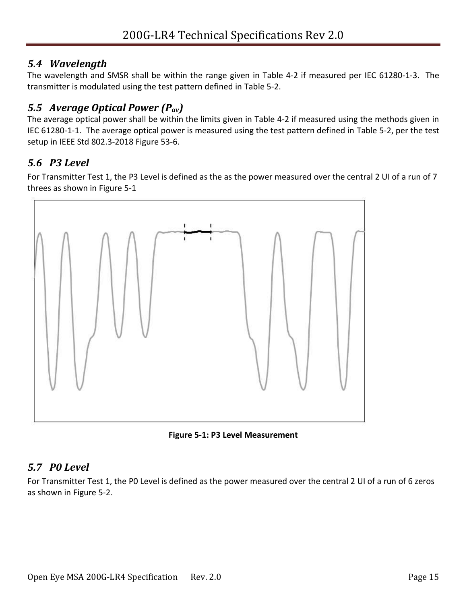### <span id="page-14-0"></span>*5.4 Wavelength*

The wavelength and SMSR shall be within the range given in [Table 4-2](#page-10-1) if measured per IEC 61280-1-3. The transmitter is modulated using the test pattern defined in [Table 5-2.](#page-13-5)

### <span id="page-14-1"></span>*5.5 Average Optical Power (Pav)*

The average optical power shall be within the limits given in [Table 4-2](#page-10-1) if measured using the methods given in IEC 61280-1-1. The average optical power is measured using the test pattern defined in [Table 5-2,](#page-13-5) per the test setup in IEEE Std 802.3-2018 Figure 53-6.

### <span id="page-14-2"></span>*5.6 P3 Level*

For Transmitter Test 1, the P3 Level is defined as the as the power measured over the central 2 UI of a run of 7 threes as shown in [Figure 5-1](#page-14-4)



**Figure 5-1: P3 Level Measurement** 

### <span id="page-14-4"></span><span id="page-14-3"></span>*5.7 P0 Level*

For Transmitter Test 1, the P0 Level is defined as the power measured over the central 2 UI of a run of 6 zeros as shown in [Figure 5-2.](#page-15-4)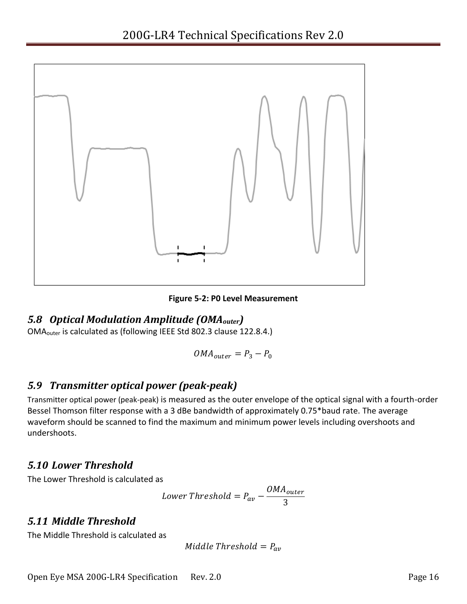

**Figure 5-2: P0 Level Measurement** 

#### <span id="page-15-4"></span><span id="page-15-0"></span>*5.8 Optical Modulation Amplitude (OMAouter)*

OMAouter is calculated as (following IEEE Std 802.3 clause 122.8.4.)

$$
OMA_{outer} = P_3 - P_0
$$

### <span id="page-15-1"></span>*5.9 Transmitter optical power (peak-peak)*

Transmitter optical power (peak-peak) is measured as the outer envelope of the optical signal with a fourth-order Bessel Thomson filter response with a 3 dBe bandwidth of approximately 0.75\*baud rate. The average waveform should be scanned to find the maximum and minimum power levels including overshoots and undershoots.

#### <span id="page-15-2"></span>*5.10 Lower Threshold*

The Lower Threshold is calculated as

Lower Threshold = 
$$
P_{av} - \frac{OMA_{outer}}{3}
$$

### <span id="page-15-3"></span>*5.11 Middle Threshold*

The Middle Threshold is calculated as

$$
Middle\ Threshold = P_{av}
$$

Open Eye MSA 200G-LR4 Specification Rev. 2.0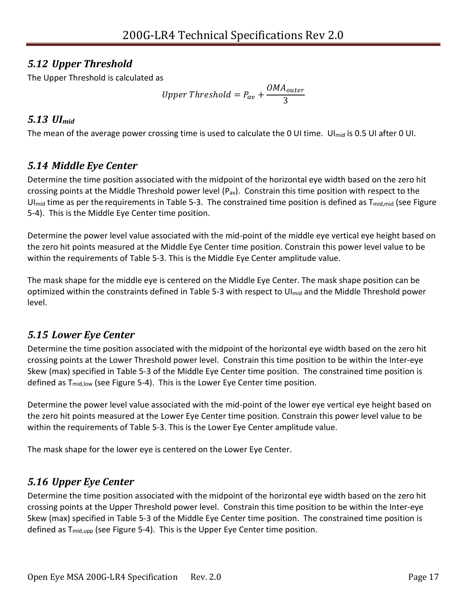### <span id="page-16-0"></span>*5.12 Upper Threshold*

The Upper Threshold is calculated as

Upper Threshold = 
$$
P_{av} + \frac{OMA_{outer}}{3}
$$

### <span id="page-16-1"></span>*5.13 UImid*

The mean of the average power crossing time is used to calculate the 0 UI time. UI<sub>mid</sub> is 0.5 UI after 0 UI.

### <span id="page-16-2"></span>*5.14 Middle Eye Center*

Determine the time position associated with the midpoint of the horizontal eye width based on the zero hit crossing points at the Middle Threshold power level  $(P_{av})$ . Constrain this time position with respect to the UI<sub>mid</sub> time as per the requirements in [Table 5-3.](#page-23-0) The constrained time position is defined as  $T_{mid, mid}$  (see Figure [5-4\)](#page-22-0). This is the Middle Eye Center time position.

Determine the power level value associated with the mid-point of the middle eye vertical eye height based on the zero hit points measured at the Middle Eye Center time position. Constrain this power level value to be within the requirements of [Table 5-3.](#page-23-0) This is the Middle Eye Center amplitude value.

The mask shape for the middle eye is centered on the Middle Eye Center. The mask shape position can be optimized within the constraints defined in [Table 5-3](#page-23-0) with respect to UI<sub>mid</sub> and the Middle Threshold power level.

### <span id="page-16-3"></span>*5.15 Lower Eye Center*

Determine the time position associated with the midpoint of the horizontal eye width based on the zero hit crossing points at the Lower Threshold power level. Constrain this time position to be within the Inter-eye Skew (max) specified in [Table 5-3](#page-23-0) of the Middle Eye Center time position. The constrained time position is defined as  $T_{mid,low}$  (see [Figure 5-4\)](#page-22-0). This is the Lower Eye Center time position.

Determine the power level value associated with the mid-point of the lower eye vertical eye height based on the zero hit points measured at the Lower Eye Center time position. Constrain this power level value to be within the requirements of [Table 5-3.](#page-23-0) This is the Lower Eye Center amplitude value.

The mask shape for the lower eye is centered on the Lower Eye Center.

## <span id="page-16-4"></span>*5.16 Upper Eye Center*

Determine the time position associated with the midpoint of the horizontal eye width based on the zero hit crossing points at the Upper Threshold power level. Constrain this time position to be within the Inter-eye Skew (max) specified in [Table 5-3](#page-23-0) of the Middle Eye Center time position. The constrained time position is defined as  $T_{mid,upp}$  (se[e Figure 5-4\)](#page-22-0). This is the Upper Eye Center time position.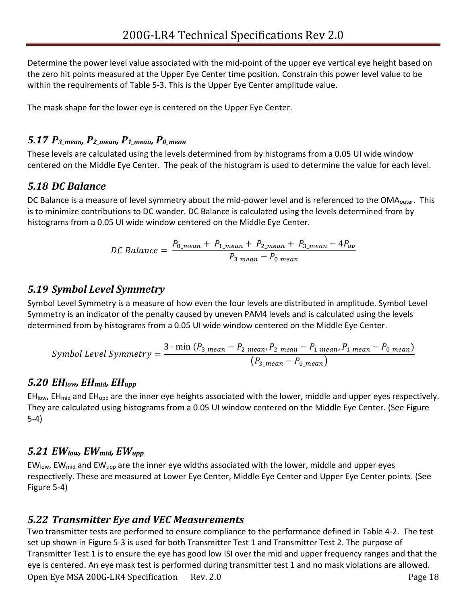Determine the power level value associated with the mid-point of the upper eye vertical eye height based on the zero hit points measured at the Upper Eye Center time position. Constrain this power level value to be within the requirements of [Table 5-3.](#page-23-0) This is the Upper Eye Center amplitude value.

The mask shape for the lower eye is centered on the Upper Eye Center.

#### <span id="page-17-0"></span>*5.17 P3\_mean, P2\_mean, P1\_mean, P0\_mean*

These levels are calculated using the levels determined from by histograms from a 0.05 UI wide window centered on the Middle Eye Center. The peak of the histogram is used to determine the value for each level.

### <span id="page-17-1"></span>*5.18 DC Balance*

DC Balance is a measure of level symmetry about the mid-power level and is referenced to the OMA<sub>outer</sub>. This is to minimize contributions to DC wander. DC Balance is calculated using the levels determined from by histograms from a 0.05 UI wide window centered on the Middle Eye Center.

$$
DC \, Balance = \frac{P_{0\_mean} + P_{1\_mean} + P_{2\_mean} + P_{3\_mean} - 4P_{av}}{P_{3\_mean} - P_{0\_mean}}
$$

#### <span id="page-17-2"></span>*5.19 Symbol Level Symmetry*

Symbol Level Symmetry is a measure of how even the four levels are distributed in amplitude. Symbol Level Symmetry is an indicator of the penalty caused by uneven PAM4 levels and is calculated using the levels determined from by histograms from a 0.05 UI wide window centered on the Middle Eye Center.

$$
Symbol \ Level \ Symmetry = \frac{3 \cdot \min (P_{3\_mean} - P_{2\_mean}, P_{2\_mean} - P_{1\_mean}, P_{1\_mean} - P_{0\_mean})}{(P_{3\_mean} - P_{0\_mean})}
$$

#### <span id="page-17-3"></span>*5.20 EHlow, EHmid, EHupp*

 $EH_{low}$ , EH<sub>mid</sub> and EH<sub>upp</sub> are the inner eye heights associated with the lower, middle and upper eyes respectively. They are calculated using histograms from a 0.05 UI window centered on the Middle Eye Center. (See [Figure](#page-22-0)  [5-4\)](#page-22-0)

#### <span id="page-17-4"></span>*5.21 EWlow, EWmid, EWupp*

EWlow, EWmid and EWupp are the inner eye widths associated with the lower, middle and upper eyes respectively. These are measured at Lower Eye Center, Middle Eye Center and Upper Eye Center points. (See [Figure 5-4\)](#page-22-0)

#### <span id="page-17-6"></span><span id="page-17-5"></span>*5.22 Transmitter Eye and VEC Measurements*

Open Eye MSA 200G-LR4 Specification Rev. 2.0 Page 18 Two transmitter tests are performed to ensure compliance to the performance defined in [Table 4-2.](#page-10-1) The test set up shown in [Figure 5-3](#page-18-1) is used for both Transmitter Test 1 and Transmitter Test 2. The purpose of Transmitter Test 1 is to ensure the eye has good low ISI over the mid and upper frequency ranges and that the eye is centered. An eye mask test is performed during transmitter test 1 and no mask violations are allowed.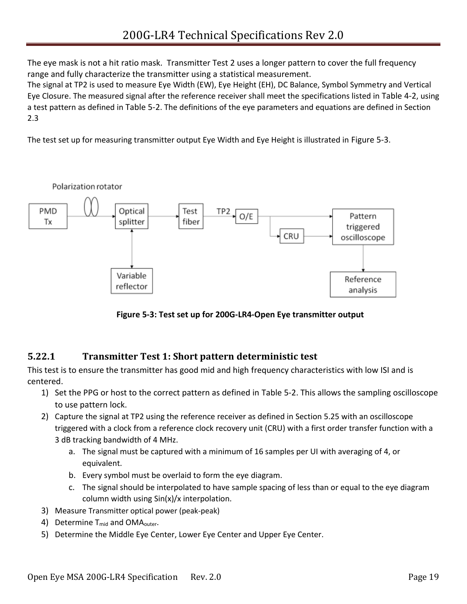The eye mask is not a hit ratio mask. Transmitter Test 2 uses a longer pattern to cover the full frequency range and fully characterize the transmitter using a statistical measurement.

The signal at TP2 is used to measure Eye Width (EW), Eye Height (EH), DC Balance, Symbol Symmetry and Vertical Eye Closure. The measured signal after the reference receiver shall meet the specifications listed in [Table 4-2](#page-10-1), using a test pattern as defined in [Table 5-2](#page-13-5). The definitions of the eye parameters and equations are defined in Section [2.3](#page-6-0)

The test set up for measuring transmitter output Eye Width and Eye Height is illustrated in [Figure 5-3](#page-18-1).



**Figure 5-3: Test set up for 200G-LR4-Open Eye transmitter output**

#### <span id="page-18-1"></span><span id="page-18-0"></span>**5.22.1 Transmitter Test 1: Short pattern deterministic test**

This test is to ensure the transmitter has good mid and high frequency characteristics with low ISI and is centered.

- 1) Set the PPG or host to the correct pattern as defined in [Table 5-2.](#page-13-5) This allows the sampling oscilloscope to use pattern lock.
- 2) Capture the signal at TP2 using the reference receiver as defined in Section [5.25](#page-24-2) with an oscilloscope triggered with a clock from a reference clock recovery unit (CRU) with a first order transfer function with a 3 dB tracking bandwidth of 4 MHz.
	- a. The signal must be captured with a minimum of 16 samples per UI with averaging of 4, or equivalent.
	- b. Every symbol must be overlaid to form the eye diagram.
	- c. The signal should be interpolated to have sample spacing of less than or equal to the eye diagram column width using Sin(x)/x interpolation.
- 3) Measure Transmitter optical power (peak-peak)
- 4) Determine  $T_{mid}$  and OMA<sub>outer</sub>.
- 5) Determine the Middle Eye Center, Lower Eye Center and Upper Eye Center.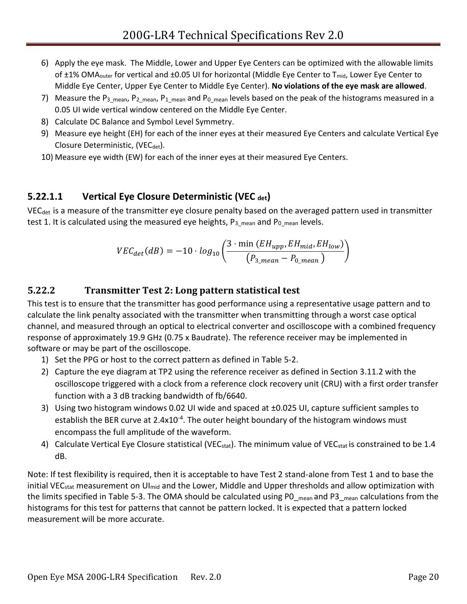- 6) Apply the eye mask. The Middle, Lower and Upper Eye Centers can be optimized with the allowable limits of ±1% OMA<sub>outer</sub> for vertical and ±0.05 UI for horizontal (Middle Eye Center to T<sub>mid</sub>, Lower Eye Center to Middle Eye Center, Upper Eye Center to Middle Eye Center). **No violations of the eye mask are allowed**.
- 7) Measure the P<sub>3\_mean</sub>, P<sub>2\_mean</sub>, P<sub>1\_mean</sub> and P<sub>0\_mean</sub> levels based on the peak of the histograms measured in a 0.05 UI wide vertical window centered on the Middle Eye Center.
- 8) Calculate DC Balance and Symbol Level Symmetry.
- 9) Measure eye height (EH) for each of the inner eyes at their measured Eye Centers and calculate Vertical Eye Closure Deterministic, (VEC<sub>det</sub>).
- 10) Measure eye width (EW) for each of the inner eyes at their measured Eye Centers.

### **5.22.1.1 Vertical Eye Closure Deterministic (VEC det)**

VEC<sub>det</sub> is a measure of the transmitter eye closure penalty based on the averaged pattern used in transmitter test 1. It is calculated using the measured eye heights,  $P_{3_{\text{mean}}}$  and  $P_{0_{\text{mean}}}$  levels.

<span id="page-19-0"></span>
$$
VEC_{det}(dB) = -10 \cdot log_{10}\left(\frac{3 \cdot \min (EH_{upp}, EH_{mid}, EH_{low})}{(P_{3\_mean} - P_{0\_mean})}\right)
$$

#### **5.22.2 Transmitter Test 2: Long pattern statistical test**

This test is to ensure that the transmitter has good performance using a representative usage pattern and to calculate the link penalty associated with the transmitter when transmitting through a worst case optical channel, and measured through an optical to electrical converter and oscilloscope with a combined frequency response of approximately 19.9 GHz (0.75 x Baudrate). The reference receiver may be implemented in software or may be part of the oscilloscope.

- 1) Set the PPG or host to the correct pattern as defined in [Table 5-2.](#page-13-5)
- 2) Capture the eye diagram at TP2 using the reference receiver as defined in Section 3.11.2 with the oscilloscope triggered with a clock from a reference clock recovery unit (CRU) with a first order transfer function with a 3 dB tracking bandwidth of fb/6640.
- 3) Using two histogram windows 0.02 UI wide and spaced at ±0.025 UI, capture sufficient samples to establish the BER curve at 2.4x10<sup>-4</sup>. The outer height boundary of the histogram windows must encompass the full amplitude of the waveform.
- 4) Calculate Vertical Eye Closure statistical (VEC<sub>stat</sub>). The minimum value of VEC<sub>stat</sub> is constrained to be 1.4 dB.

Note: If test flexibility is required, then it is acceptable to have Test 2 stand-alone from Test 1 and to base the initial VEC<sub>stat</sub> measurement on UI<sub>mid</sub> and the Lower, Middle and Upper thresholds and allow optimization with the limits specified in [Table 5-3.](#page-23-0) The OMA should be calculated using PO<sub>\_mean</sub> and P3<sub>\_mean</sub> calculations from the histograms for this test for patterns that cannot be pattern locked. It is expected that a pattern locked measurement will be more accurate.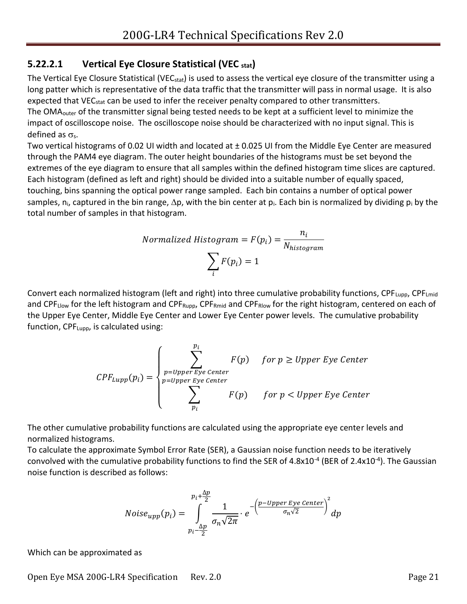#### **5.22.2.1 Vertical Eye Closure Statistical (VEC stat)**

The Vertical Eye Closure Statistical (VEC<sub>stat</sub>) is used to assess the vertical eye closure of the transmitter using a long patter which is representative of the data traffic that the transmitter will pass in normal usage. It is also expected that VEC<sub>stat</sub> can be used to infer the receiver penalty compared to other transmitters. The OMA<sub>outer</sub> of the transmitter signal being tested needs to be kept at a sufficient level to minimize the impact of oscilloscope noise. The oscilloscope noise should be characterized with no input signal. This is defined as  $\sigma_s$ .

Two vertical histograms of 0.02 UI width and located at ± 0.025 UI from the Middle Eye Center are measured through the PAM4 eye diagram. The outer height boundaries of the histograms must be set beyond the extremes of the eye diagram to ensure that all samples within the defined histogram time slices are captured. Each histogram (defined as left and right) should be divided into a suitable number of equally spaced, touching, bins spanning the optical power range sampled. Each bin contains a number of optical power samples, n<sub>i</sub>, captured in the bin range,  $\Delta p$ , with the bin center at p<sub>i</sub>. Each bin is normalized by dividing p<sub>i</sub> by the total number of samples in that histogram.

$$
Normalized Histogram = F(p_i) = \frac{n_i}{N_{histogram}}
$$

$$
\sum_{i} F(p_i) = 1
$$

Convert each normalized histogram (left and right) into three cumulative probability functions,  $\text{CPF}_{\text{Lupp}}$ ,  $\text{CPF}_{\text{Lmid}}$ and CPF<sub>Llow</sub> for the left histogram and CPF<sub>Rupp</sub>, CPF<sub>Rmid</sub> and CPF<sub>Rlow</sub> for the right histogram, centered on each of the Upper Eye Center, Middle Eye Center and Lower Eye Center power levels. The cumulative probability function, CPFLupp, is calculated using:

$$
CPF_{Lupp}(p_i) = \begin{cases} \sum_{p=Upper\,Eye\,Center}^{p_i} & \text{for } p \geq Upper\,Eye\,Center\\ \sum_{p=Upper\,Eye\,Center}^{p=Upper\,Eye\,Center} & \text{for } p < Upper\,Eye\,Center \end{cases}
$$

The other cumulative probability functions are calculated using the appropriate eye center levels and normalized histograms.

To calculate the approximate Symbol Error Rate (SER), a Gaussian noise function needs to be iteratively convolved with the cumulative probability functions to find the SER of 4.8x10<sup>-4</sup> (BER of 2.4x10<sup>-4</sup>). The Gaussian noise function is described as follows:

$$
Noise_{upp}(p_i) = \int_{p_i - \frac{\Delta p}{2}}^{p_i + \frac{\Delta p}{2}} \frac{1}{\sigma_n \sqrt{2\pi}} \cdot e^{-\left(\frac{p - Upper \, Eye \, Center}{\sigma_n \sqrt{2}}\right)^2} dp
$$

Which can be approximated as

Open Eye MSA 200G-LR4 Specification Rev. 2.0 Page 21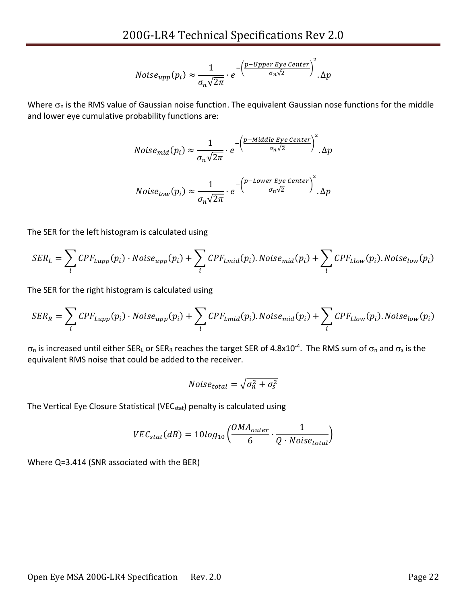$$
Noise_{upp}(p_i) \approx \frac{1}{\sigma_n \sqrt{2\pi}} \cdot e^{-\left(\frac{p-Upper\,Eye\,Center}{\sigma_n \sqrt{2}}\right)^2}.\Delta p
$$

Where  $\sigma_n$  is the RMS value of Gaussian noise function. The equivalent Gaussian nose functions for the middle and lower eye cumulative probability functions are:

$$
Noise_{mid}(p_i) \approx \frac{1}{\sigma_n \sqrt{2\pi}} \cdot e^{-\left(\frac{p - Middle\,Eye\,Center}{\sigma_n \sqrt{2}}\right)^2} \cdot \Delta p
$$
  

$$
Noise_{low}(p_i) \approx \frac{1}{\sqrt{2\pi}} \cdot e^{-\left(\frac{p - Lower\,Eye\,Center}{\sigma_n \sqrt{2}}\right)^2} \cdot \Delta p
$$

 $\sigma_n\sqrt{2\pi}$ 

The SER for the left histogram is calculated using

$$
SER_L = \sum_i CPF_{Lupp}(p_i) \cdot Noise_{upp}(p_i) + \sum_i CPF_{Lmid}(p_i).Noise_{mid}(p_i) + \sum_i CPF_{Llow}(p_i).Noise_{low}(p_i)
$$

The SER for the right histogram is calculated using

$$
SER_R = \sum_i CPF_{Lupp}(p_i) \cdot Noise_{upp}(p_i) + \sum_i CPF_{Lmid}(p_i).Noise_{mid}(p_i) + \sum_i CPF_{Llow}(p_i).Noise_{low}(p_i)
$$

 $\sigma_0$  is increased until either SER<sub>L</sub> or SER<sub>R</sub> reaches the target SER of 4.8x10<sup>-4</sup>. The RMS sum of  $\sigma_0$  and  $\sigma_ s$  is the equivalent RMS noise that could be added to the receiver.

$$
Noise_{total} = \sqrt{\sigma_n^2 + \sigma_s^2}
$$

The Vertical Eye Closure Statistical (VEC<sub>stat</sub>) penalty is calculated using

$$
VEC_{stat}(dB) = 10log_{10}\left(\frac{OMA_{outer}}{6} \cdot \frac{1}{Q \cdot Noise_{total}}\right)
$$

Where Q=3.414 (SNR associated with the BER)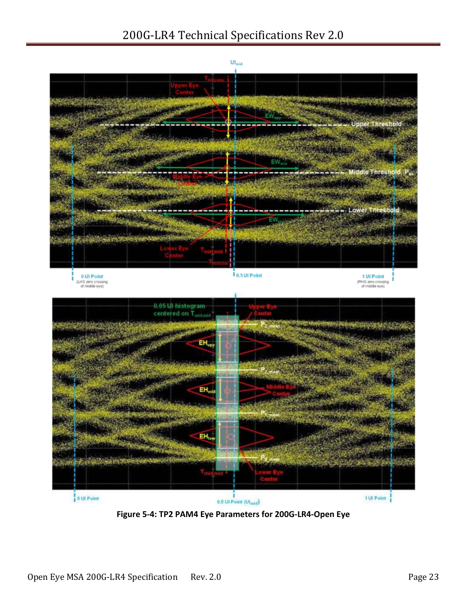## 200G-LR4 Technical Specifications Rev 2.0



<span id="page-22-0"></span>**Figure 5-4: TP2 PAM4 Eye Parameters for 200G-LR4-Open Eye**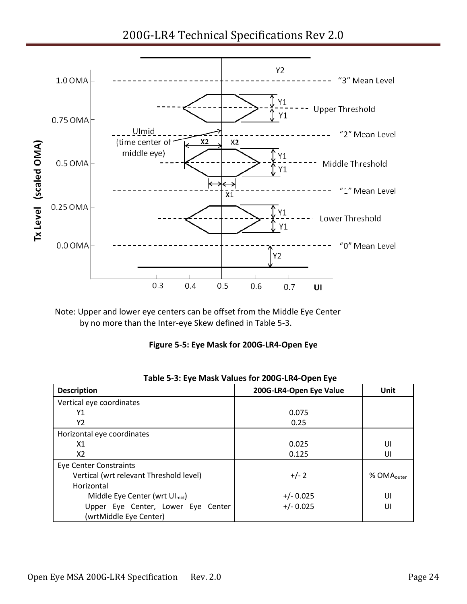200G-LR4 Technical Specifications Rev 2.0



<span id="page-23-1"></span>Note: Upper and lower eye centers can be offset from the Middle Eye Center by no more than the Inter-eye Skew defined in [Table 5-3.](#page-23-0)

**Figure 5-5: Eye Mask for 200G-LR4-Open Eye**

<span id="page-23-0"></span>

| Table 5-5. Lyc Iviash Values IVI 2000-LIN-Open Lyc |                         |                        |  |
|----------------------------------------------------|-------------------------|------------------------|--|
| <b>Description</b>                                 | 200G-LR4-Open Eye Value | Unit                   |  |
| Vertical eye coordinates                           |                         |                        |  |
| Υ1                                                 | 0.075                   |                        |  |
| Y2                                                 | 0.25                    |                        |  |
| Horizontal eye coordinates                         |                         |                        |  |
| X <sub>1</sub>                                     | 0.025                   | UI                     |  |
| X2                                                 | 0.125                   | UI                     |  |
| <b>Eye Center Constraints</b>                      |                         |                        |  |
| Vertical (wrt relevant Threshold level)            | $+/- 2$                 | % OMA <sub>outer</sub> |  |
| Horizontal                                         |                         |                        |  |
| Middle Eye Center (wrt Ul <sub>mid</sub> )         | $+/- 0.025$             | UI                     |  |
| Upper Eye Center, Lower Eye Center                 | $+/- 0.025$             | UI                     |  |
| (wrtMiddle Eye Center)                             |                         |                        |  |

**Table 5-3: Eye Mask Values for 200G-LR4-Open Eye**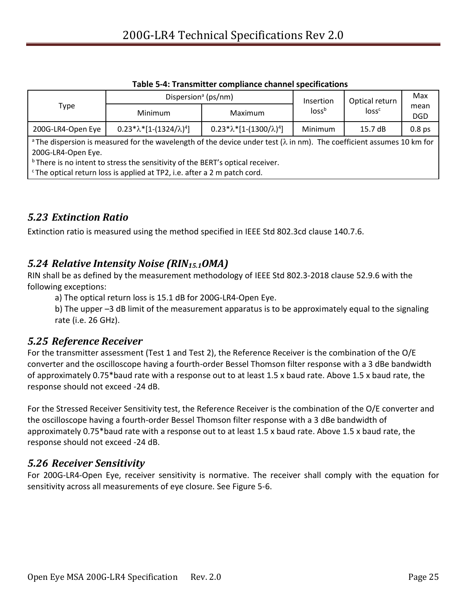<span id="page-24-4"></span>

|                                                                                                                                                                                                                                                                                                                                                      | Dispersion <sup>a</sup> (ps/nm)     |                                     | Insertion         | Optical return    | Max                |
|------------------------------------------------------------------------------------------------------------------------------------------------------------------------------------------------------------------------------------------------------------------------------------------------------------------------------------------------------|-------------------------------------|-------------------------------------|-------------------|-------------------|--------------------|
| Type                                                                                                                                                                                                                                                                                                                                                 | Minimum                             | Maximum                             | loss <sup>b</sup> | loss <sup>c</sup> | mean<br><b>DGD</b> |
| 200G-LR4-Open Eye                                                                                                                                                                                                                                                                                                                                    | $0.23*\lambda*[1-(1324/\lambda)^4]$ | $0.23*\lambda*[1-(1300/\lambda)^4]$ | Minimum           | 15.7dB            | 0.8 <sub>ps</sub>  |
| <sup>a</sup> The dispersion is measured for the wavelength of the device under test ( $\lambda$ in nm). The coefficient assumes 10 km for<br>200G-LR4-Open Eye.<br><sup>b</sup> There is no intent to stress the sensitivity of the BERT's optical receiver.<br><sup>c</sup> The optical return loss is applied at TP2, i.e. after a 2 m patch cord. |                                     |                                     |                   |                   |                    |

#### **Table 5-4: Transmitter compliance channel specifications**

#### <span id="page-24-5"></span><span id="page-24-0"></span>*5.23 Extinction Ratio*

Extinction ratio is measured using the method specified in IEEE Std 802.3cd clause 140.7.6.

#### <span id="page-24-6"></span><span id="page-24-1"></span>*5.24 Relative Intensity Noise (RIN15.1OMA)*

RIN shall be as defined by the measurement methodology of IEEE Std 802.3-2018 clause 52.9.6 with the following exceptions:

a) The optical return loss is 15.1 dB for 200G-LR4-Open Eye.

<span id="page-24-2"></span>b) The upper –3 dB limit of the measurement apparatus is to be approximately equal to the signaling rate (i.e. 26 GHz).

#### *5.25 Reference Receiver*

For the transmitter assessment (Test 1 and Test 2), the Reference Receiver is the combination of the O/E converter and the oscilloscope having a fourth-order Bessel Thomson filter response with a 3 dBe bandwidth of approximately 0.75\*baud rate with a response out to at least 1.5 x baud rate. Above 1.5 x baud rate, the response should not exceed -24 dB.

For the Stressed Receiver Sensitivity test, the Reference Receiver is the combination of the O/E converter and the oscilloscope having a fourth-order Bessel Thomson filter response with a 3 dBe bandwidth of approximately 0.75\*baud rate with a response out to at least 1.5 x baud rate. Above 1.5 x baud rate, the response should not exceed -24 dB.

#### <span id="page-24-3"></span>*5.26 Receiver Sensitivity*

For 200G-LR4-Open Eye, receiver sensitivity is normative. The receiver shall comply with the equation for sensitivity across all measurements of eye closure. Se[e Figure 5-6.](#page-25-2)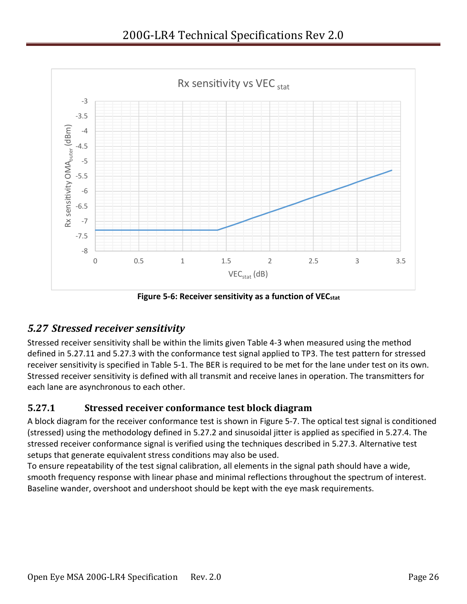

**Figure 5-6: Receiver sensitivity as a function of VECstat**

### <span id="page-25-3"></span><span id="page-25-2"></span><span id="page-25-0"></span>*5.27 Stressed receiver sensitivity*

Stressed receiver sensitivity shall be within the limits given [Table 4-3](#page-11-1) when measured using the method defined in [5.27.11](#page-25-1) and [5.27.3](#page-27-0) with the conformance test signal applied to TP3. The test pattern for stressed receiver sensitivity is specified in [Table 5-1.](#page-13-4) The BER is required to be met for the lane under test on its own. Stressed receiver sensitivity is defined with all transmit and receive lanes in operation. The transmitters for each lane are asynchronous to each other.

#### <span id="page-25-1"></span>**5.27.1 Stressed receiver conformance test block diagram**

A block diagram for the receiver conformance test is shown in [Figure 5-7.](#page-26-1) The optical test signal is conditioned (stressed) using the methodology defined in [5.27.2](#page-26-0) and sinusoidal jitter is applied as specified in [5.27.4.](#page-28-0) The stressed receiver conformance signal is verified using the techniques described in [5.27.3.](#page-27-0) Alternative test setups that generate equivalent stress conditions may also be used.

To ensure repeatability of the test signal calibration, all elements in the signal path should have a wide, smooth frequency response with linear phase and minimal reflections throughout the spectrum of interest. Baseline wander, overshoot and undershoot should be kept with the eye mask requirements.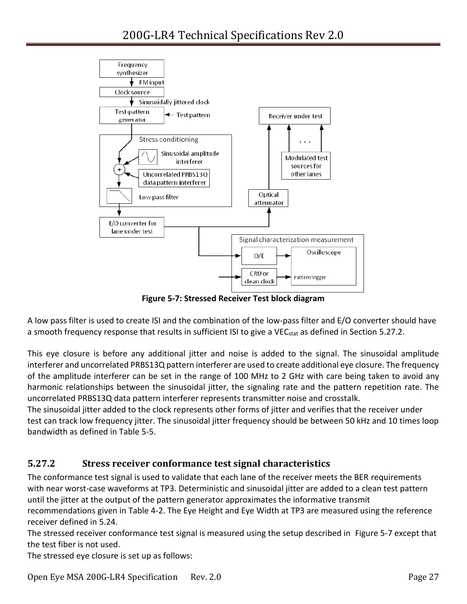

**Figure 5-7: Stressed Receiver Test block diagram**

<span id="page-26-1"></span>A low pass filter is used to create ISI and the combination of the low-pass filter and E/O converter should have a smooth frequency response that results in sufficient ISI to give a VEC<sub>stat</sub> as defined in Section [5.27.2.](#page-26-0)

This eye closure is before any additional jitter and noise is added to the signal. The sinusoidal amplitude interferer and uncorrelated PRBS13Q pattern interferer are used to create additional eye closure. The frequency of the amplitude interferer can be set in the range of 100 MHz to 2 GHz with care being taken to avoid any harmonic relationships between the sinusoidal jitter, the signaling rate and the pattern repetition rate. The uncorrelated PRBS13Q data pattern interferer represents transmitter noise and crosstalk.

The sinusoidal jitter added to the clock represents other forms of jitter and verifies that the receiver under test can track low frequency jitter. The sinusoidal jitter frequency should be between 50 kHz and 10 times loop bandwidth as defined in [Table 5-5.](#page-28-1)

#### <span id="page-26-0"></span>**5.27.2 Stress receiver conformance test signal characteristics**

The conformance test signal is used to validate that each lane of the receiver meets the BER requirements with near worst-case waveforms at TP3. Deterministic and sinusoidal jitter are added to a clean test pattern until the jitter at the output of the pattern generator approximates the informative transmit recommendations given in [Table 4-2.](#page-10-1) The Eye Height and Eye Width at TP3 are measured using the reference

receiver defined in [5.24.](#page-24-6)

The stressed receiver conformance test signal is measured using the setup described in [Figure 5-7](#page-26-1) except that the test fiber is not used.

The stressed eye closure is set up as follows:

Open Eye MSA 200G-LR4 Specification Rev. 2.0 Page 27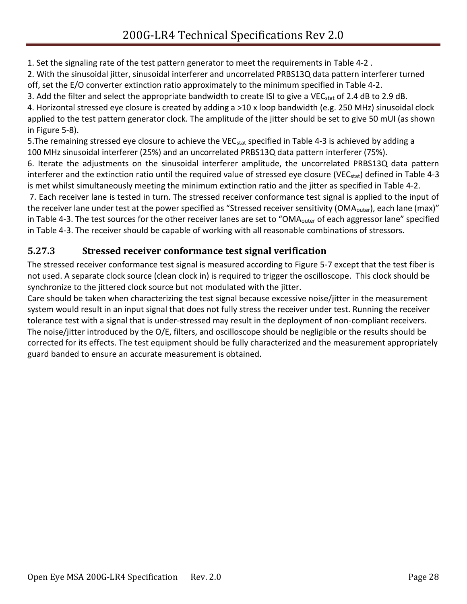1. Set the signaling rate of the test pattern generator to meet the requirements in [Table 4-2](#page-10-1) .

2. With the sinusoidal jitter, sinusoidal interferer and uncorrelated PRBS13Q data pattern interferer turned off, set the E/O converter extinction ratio approximately to the minimum specified in [Table 4-2.](#page-10-1)

3. Add the filter and select the appropriate bandwidth to create ISI to give a VEC<sub>stat</sub> of 2.4 dB to 2.9 dB. 4. Horizontal stressed eye closure is created by adding a >10 x loop bandwidth (e.g. 250 MHz) sinusoidal clock applied to the test pattern generator clock. The amplitude of the jitter should be set to give 50 mUI (as shown in [Figure 5-8\)](#page-28-2).

5. The remaining stressed eye closure to achieve the VEC<sub>stat</sub> specified in [Table 4-3](#page-11-1) is achieved by adding a 100 MHz sinusoidal interferer (25%) and an uncorrelated PRBS13Q data pattern interferer (75%).

6. Iterate the adjustments on the sinusoidal interferer amplitude, the uncorrelated PRBS13Q data pattern interferer and the extinction ratio until the required value of stressed eye closure (VEC<sub>stat</sub>) defined in [Table 4-3](#page-11-1) is met whilst simultaneously meeting the minimum extinction ratio and the jitter as specified in [Table 4-2.](#page-10-1)

7. Each receiver lane is tested in turn. The stressed receiver conformance test signal is applied to the input of the receiver lane under test at the power specified as "Stressed receiver sensitivity (OMA<sub>outer</sub>), each lane (max)" i[n Table 4-3.](#page-11-1) The test sources for the other receiver lanes are set to "OMA<sub>outer</sub> of each aggressor lane" specified in [Table 4-3.](#page-11-1) The receiver should be capable of working with all reasonable combinations of stressors.

### <span id="page-27-0"></span>**5.27.3 Stressed receiver conformance test signal verification**

The stressed receiver conformance test signal is measured according to [Figure 5-7](#page-26-1) except that the test fiber is not used. A separate clock source (clean clock in) is required to trigger the oscilloscope. This clock should be synchronize to the jittered clock source but not modulated with the jitter.

Care should be taken when characterizing the test signal because excessive noise/jitter in the measurement system would result in an input signal that does not fully stress the receiver under test. Running the receiver tolerance test with a signal that is under-stressed may result in the deployment of non-compliant receivers. The noise/jitter introduced by the O/E, filters, and oscilloscope should be negligible or the results should be corrected for its effects. The test equipment should be fully characterized and the measurement appropriately guard banded to ensure an accurate measurement is obtained.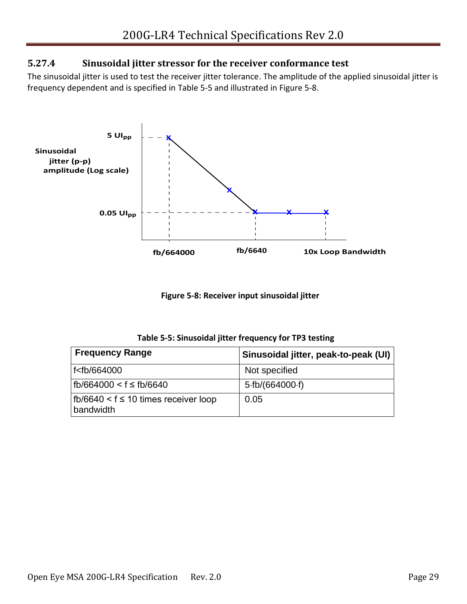#### <span id="page-28-0"></span>**5.27.4 Sinusoidal jitter stressor for the receiver conformance test**

The sinusoidal jitter is used to test the receiver jitter tolerance. The amplitude of the applied sinusoidal jitter is frequency dependent and is specified in [Table 5-5](#page-28-1) and illustrated in [Figure 5-8.](#page-28-2)



**Figure 5-8: Receiver input sinusoidal jitter**

| Table 5-5: Sinusoidal jitter frequency for TP3 testing |  |  |  |  |
|--------------------------------------------------------|--|--|--|--|
|--------------------------------------------------------|--|--|--|--|

<span id="page-28-2"></span><span id="page-28-1"></span>

| <b>Frequency Range</b>                                         | Sinusoidal jitter, peak-to-peak (UI) |
|----------------------------------------------------------------|--------------------------------------|
| f <fb 664000<="" td=""><td>Not specified</td></fb>             | Not specified                        |
| fb/664000 < f ≤ fb/6640                                        | 5·fb/(664000·f)                      |
| $\vert$ fb/6640 < f $\leq$ 10 times receiver loop<br>bandwidth | 0.05                                 |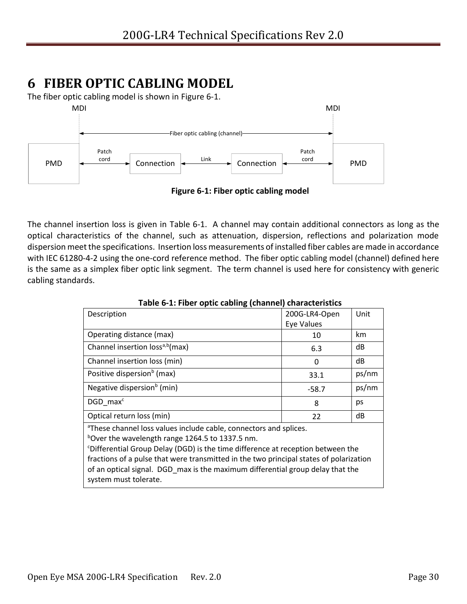# <span id="page-29-0"></span>**6 FIBER OPTIC CABLING MODEL**

The fiber optic cabling model is shown in [Figure 6-1.](#page-29-2)



<span id="page-29-2"></span>The channel insertion loss is given in [Table 6-1.](#page-29-1) A channel may contain additional connectors as long as the optical characteristics of the channel, such as attenuation, dispersion, reflections and polarization mode dispersion meet the specifications. Insertion loss measurements of installed fiber cables are made in accordance with IEC 61280-4-2 using the one-cord reference method. The fiber optic cabling model (channel) defined here is the same as a simplex fiber optic link segment. The term channel is used here for consistency with generic cabling standards.

<span id="page-29-1"></span>

| Description                                                                                 | 200G-LR4-Open | Unit  |
|---------------------------------------------------------------------------------------------|---------------|-------|
|                                                                                             | Eye Values    |       |
| Operating distance (max)                                                                    | 10            | km    |
| Channel insertion loss <sup>a,b</sup> (max)                                                 | 6.3           | dB    |
| Channel insertion loss (min)                                                                | 0             | dB    |
| Positive dispersion <sup>b</sup> (max)                                                      | 33.1          | ps/nm |
| Negative dispersion <sup>b</sup> (min)                                                      | $-58.7$       | ps/nm |
| DGD max <sup>c</sup>                                                                        | 8             | ps    |
| Optical return loss (min)                                                                   | 22            | dB    |
| <sup>a</sup> These channel loss values include cable, connectors and splices.               |               |       |
| bover the wavelength range 1264.5 to 1337.5 nm.                                             |               |       |
| <sup>c</sup> Differential Group Delay (DGD) is the time difference at reception between the |               |       |
| fractions of a pulse that were transmitted in the two principal states of polarization      |               |       |
| of an optical signal. DGD max is the maximum differential group delay that the              |               |       |
| system must tolerate.                                                                       |               |       |

**Table 6-1: Fiber optic cabling (channel) characteristics**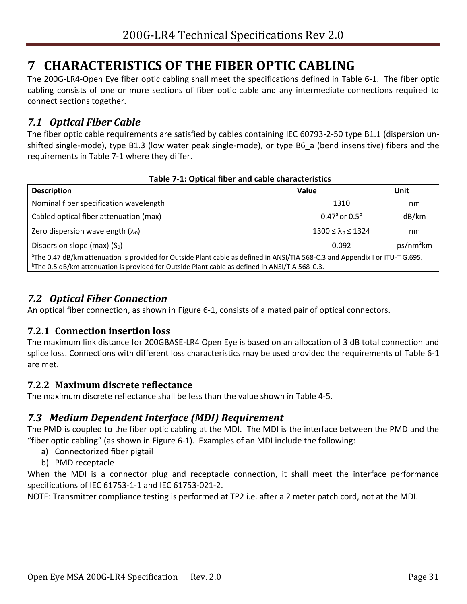# <span id="page-30-0"></span>**7 CHARACTERISTICS OF THE FIBER OPTIC CABLING**

The 200G-LR4-Open Eye fiber optic cabling shall meet the specifications defined in [Table 6-1.](#page-29-1) The fiber optic cabling consists of one or more sections of fiber optic cable and any intermediate connections required to connect sections together.

### <span id="page-30-1"></span>*7.1 Optical Fiber Cable*

The fiber optic cable requirements are satisfied by cables containing IEC 60793-2-50 type B1.1 (dispersion unshifted single-mode), type B1.3 (low water peak single-mode), or type B6\_a (bend insensitive) fibers and the requirements in [Table 7-1](#page-30-6) where they differ.

<span id="page-30-6"></span>

| <b>Description</b>                                                                                                                                                                                                                                      | Value                         | Unit  |
|---------------------------------------------------------------------------------------------------------------------------------------------------------------------------------------------------------------------------------------------------------|-------------------------------|-------|
| Nominal fiber specification wavelength                                                                                                                                                                                                                  | 1310                          | nm    |
| Cabled optical fiber attenuation (max)                                                                                                                                                                                                                  | 0.47 $a$ or 0.5 $b$           | dB/km |
| Zero dispersion wavelength $(\lambda_0)$                                                                                                                                                                                                                | $1300 \le \lambda_0 \le 1324$ | nm    |
| ps/nm <sup>2</sup> km<br>Dispersion slope (max) $(S0)$<br>0.092                                                                                                                                                                                         |                               |       |
| <sup>a</sup> The 0.47 dB/km attenuation is provided for Outside Plant cable as defined in ANSI/TIA 568-C.3 and Appendix I or ITU-T G.695.<br><sup>b</sup> The 0.5 dB/km attenuation is provided for Outside Plant cable as defined in ANSI/TIA 568-C.3. |                               |       |

#### **Table 7-1: Optical fiber and cable characteristics**

### <span id="page-30-2"></span>*7.2 Optical Fiber Connection*

An optical fiber connection, as shown in [Figure 6-1,](#page-29-2) consists of a mated pair of optical connectors.

#### <span id="page-30-3"></span>**7.2.1 Connection insertion loss**

The maximum link distance for 200GBASE-LR4 Open Eye is based on an allocation of 3 dB total connection and splice loss. Connections with different loss characteristics may be used provided the requirements of [Table 6-1](#page-29-1) are met.

#### <span id="page-30-4"></span>**7.2.2 Maximum discrete reflectance**

The maximum discrete reflectance shall be less than the value shown in [Table 4-5.](#page-12-2)

#### <span id="page-30-5"></span>*7.3 Medium Dependent Interface (MDI) Requirement*

The PMD is coupled to the fiber optic cabling at the MDI. The MDI is the interface between the PMD and the "fiber optic cabling" (as shown in [Figure 6-1\)](#page-29-2). Examples of an MDI include the following:

- a) Connectorized fiber pigtail
- b) PMD receptacle

When the MDI is a connector plug and receptacle connection, it shall meet the interface performance specifications of IEC 61753-1-1 and IEC 61753-021-2.

NOTE: Transmitter compliance testing is performed at TP2 i.e. after a 2 meter patch cord, not at the MDI.